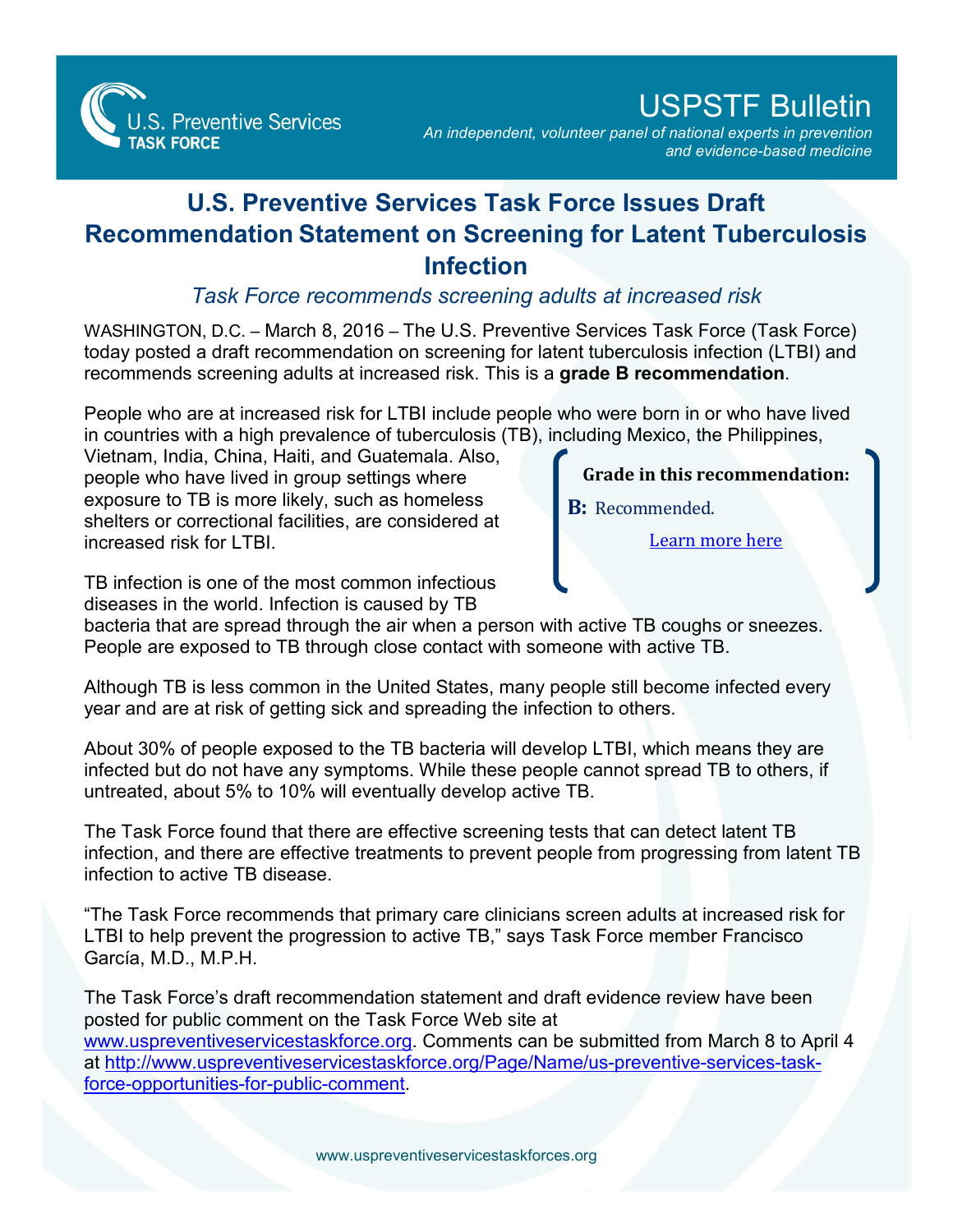

## USPSTF Bulletin

*An independent, volunteer panel of national experts in prevention and evidence-based medicine*

## **U.S. Preventive Services Task Force Issues Draft Recommendation Statement on Screening for Latent Tuberculosis Infection**

*Task Force recommends screening adults at increased risk*

WASHINGTON, D.C. – March 8, 2016 – The U.S. Preventive Services Task Force (Task Force) today posted a draft recommendation on screening for latent tuberculosis infection (LTBI) and recommends screening adults at increased risk. This is a **grade B recommendation**.

People who are at increased risk for LTBI include people who were born in or who have lived in countries with a high prevalence of tuberculosis (TB), including Mexico, the Philippines,

Vietnam, India, China, Haiti, and Guatemala. Also, people who have lived in group settings where exposure to TB is more likely, such as homeless shelters or correctional facilities, are considered at increased risk for LTBL

**Grade in this recommendation:**

**B:** Recommended.

[Learn more here](http://www.uspreventiveservicestaskforce.org/Page/Name/grade-definitions)

TB infection is one of the most common infectious diseases in the world. Infection is caused by TB

bacteria that are spread through the air when a person with active TB coughs or sneezes. People are exposed to TB through close contact with someone with active TB.

Although TB is less common in the United States, many people still become infected every year and are at risk of getting sick and spreading the infection to others.

About 30% of people exposed to the TB bacteria will develop LTBI, which means they are infected but do not have any symptoms. While these people cannot spread TB to others, if untreated, about 5% to 10% will eventually develop active TB.

The Task Force found that there are effective screening tests that can detect latent TB infection, and there are effective treatments to prevent people from progressing from latent TB infection to active TB disease.

"The Task Force recommends that primary care clinicians screen adults at increased risk for LTBI to help prevent the progression to active TB," says Task Force member Francisco García, M.D., M.P.H.

The Task Force's draft recommendation statement and draft evidence review have been posted for public comment on the Task Force Web site at [www.uspreventiveservicestaskforce.org.](http://www.uspreventiveservicestaskforce.org) Comments can be submitted from March 8 to April 4 [at http://www.uspreventiveservicestaskforce.org/Page/Name/us-preventive-services-task](http://www.uspreventiveservicestaskforce.org/Page/Name/us-preventive-services-task-force-opportunities-for-public-comment)force-opportunities-for-public-comment.